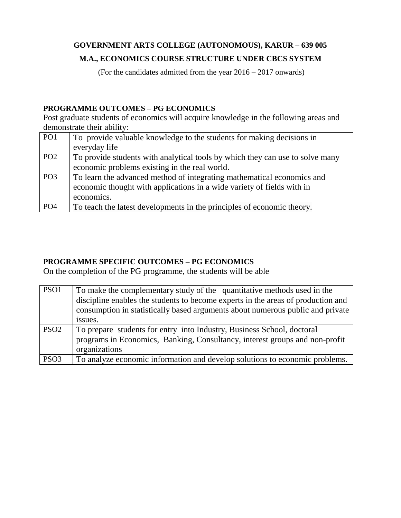# **GOVERNMENT ARTS COLLEGE (AUTONOMOUS), KARUR – 639 005**

# **M.A., ECONOMICS COURSE STRUCTURE UNDER CBCS SYSTEM**

(For the candidates admitted from the year 2016 – 2017 onwards)

## **PROGRAMME OUTCOMES – PG ECONOMICS**

Post graduate students of economics will acquire knowledge in the following areas and demonstrate their ability:

| PO1             | To provide valuable knowledge to the students for making decisions in<br>everyday life                                                                         |
|-----------------|----------------------------------------------------------------------------------------------------------------------------------------------------------------|
| PO <sub>2</sub> | To provide students with analytical tools by which they can use to solve many<br>economic problems existing in the real world.                                 |
| PO <sub>3</sub> | To learn the advanced method of integrating mathematical economics and<br>economic thought with applications in a wide variety of fields with in<br>economics. |
| PO <sub>4</sub> | To teach the latest developments in the principles of economic theory.                                                                                         |

# **PROGRAMME SPECIFIC OUTCOMES – PG ECONOMICS**

On the completion of the PG programme, the students will be able

| PSO1             | To make the complementary study of the quantitative methods used in the<br>discipline enables the students to become experts in the areas of production and<br>consumption in statistically based arguments about numerous public and private<br>issues. |
|------------------|----------------------------------------------------------------------------------------------------------------------------------------------------------------------------------------------------------------------------------------------------------|
| PSO <sub>2</sub> | To prepare students for entry into Industry, Business School, doctoral<br>programs in Economics, Banking, Consultancy, interest groups and non-profit<br>organizations                                                                                   |
| PSO <sub>3</sub> | To analyze economic information and develop solutions to economic problems.                                                                                                                                                                              |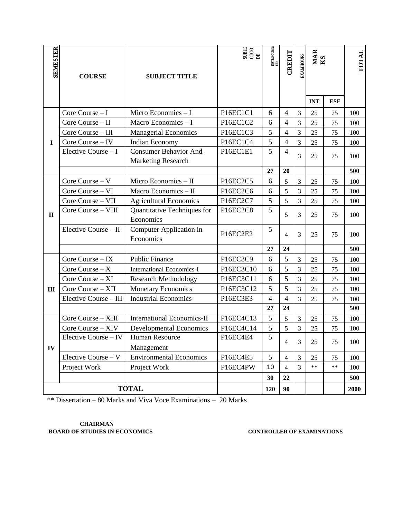| SENIESTER    | <b>COURSE</b>         | <b>SUBJECT TITLE</b>                                      | $\begin{array}{c} \text{SIBIE} \\ \text{CICO} \\ \underline{\text{DE}} \end{array}$ | INSTR.HOURSW<br>EEK | <b>CREDIT</b>            | <b>EXAMHOURS</b> | MAR<br>KS  |            | <b>TOTAL</b> |
|--------------|-----------------------|-----------------------------------------------------------|-------------------------------------------------------------------------------------|---------------------|--------------------------|------------------|------------|------------|--------------|
|              |                       |                                                           |                                                                                     |                     |                          |                  | <b>INT</b> | <b>ESE</b> |              |
|              | Core Course $-I$      | Micro Economics - I                                       | P16EC1C1                                                                            | 6                   | $\overline{4}$           | 3                | 25         | 75         | 100          |
|              | Core Course - II      | Macro Economics - I                                       | P16EC1C2                                                                            | 6                   | $\overline{4}$           | 3                | 25         | 75         | 100          |
|              | Core Course - III     | <b>Managerial Economics</b>                               | P16EC1C3                                                                            | 5                   | $\overline{4}$           | $\overline{3}$   | 25         | 75         | 100          |
| $\mathbf I$  | Core Course - IV      | Indian Economy                                            | P16EC1C4                                                                            | 5                   | $\overline{4}$           | 3                | 25         | 75         | 100          |
|              | Elective Course - I   | <b>Consumer Behavior And</b><br><b>Marketing Research</b> | P16EC1E1                                                                            | 5                   | $\overline{4}$           | 3                | 25         | 75         | 100          |
|              |                       |                                                           |                                                                                     | 27                  | 20                       |                  |            |            | 500          |
|              | Core Course - V       | Micro Economics - II                                      | P16EC2C5                                                                            | 6                   | 5                        | 3                | 25         | 75         | 100          |
|              | Core Course - VI      | Macro Economics - II                                      | P16EC2C6                                                                            | 6                   | 5                        | 3                | 25         | 75         | 100          |
|              | Core Course - VII     | <b>Agricultural Economics</b>                             | P16EC2C7                                                                            | 5                   | 5                        | 3                | 25         | 75         | 100          |
| $\mathbf{I}$ | Core Course - VIII    | Quantitative Techniques for<br>Economics                  | P16EC2C8                                                                            | 5                   | 5                        | 3                | 25         | 75         | 100          |
|              | Elective Course - II  | Computer Application in<br>Economics                      | P16EC2E2                                                                            | 5                   | $\overline{4}$           | 3                | 25         | 75         | 100          |
|              |                       |                                                           |                                                                                     | 27                  | 24                       |                  |            |            | 500          |
|              | Core Course - IX      | <b>Public Finance</b>                                     | P16EC3C9                                                                            | 6                   | 5                        | 3                | 25         | 75         | 100          |
|              | Core Course $-X$      | <b>International Economics-I</b>                          | P16EC3C10                                                                           | 6                   | 5                        | $\overline{3}$   | 25         | 75         | 100          |
|              | Core Course - XI      | <b>Research Methodology</b>                               | P16EC3C11                                                                           | 6                   | 5                        | 3                | 25         | 75         | 100          |
| III          | Core Course - XII     | <b>Monetary Economics</b>                                 | P16EC3C12                                                                           | 5                   | 5                        | 3                | 25         | 75         | 100          |
|              | Elective Course - III | <b>Industrial Economics</b>                               | P16EC3E3                                                                            | $\overline{4}$      | $\overline{4}$           | 3                | 25         | 75         | 100          |
|              |                       |                                                           |                                                                                     | 27                  | 24                       |                  |            |            | 500          |
|              | Core Course - XIII    | <b>International Economics-II</b>                         | P16EC4C13                                                                           | $\mathfrak{S}$      | 5                        | 3                | 25         | 75         | 100          |
|              | Core Course - XIV     | <b>Developmental Economics</b>                            | P16EC4C14                                                                           | 5                   | 5                        | 3                | 25         | 75         | 100          |
|              | Elective Course - IV  | Human Resource                                            | P16EC4E4                                                                            | $\overline{5}$      | $\overline{4}$           | 3                | 25         | 75         | 100          |
| IV           |                       | Management                                                |                                                                                     |                     |                          |                  |            |            |              |
|              | Elective Course - V   | <b>Environmental Economics</b>                            | P16EC4E5                                                                            | 5                   | $\overline{4}$           | $\mathfrak{Z}$   | 25         | 75         | 100          |
|              | Project Work          | Project Work                                              | P16EC4PW                                                                            | 10                  | $\overline{\mathcal{L}}$ | 3                | $**$       | $**$       | 100          |
|              |                       |                                                           |                                                                                     | 30                  | 22                       |                  |            |            | 500          |
|              | <b>TOTAL</b>          |                                                           |                                                                                     | 120                 | 90                       |                  |            |            | 2000         |

\*\* Dissertation – 80 Marks and Viva Voce Examinations – 20 Marks

#### **CHAIRMAN BOARD OF STUDIES IN ECONOMICS CONTROLLER OF EXAMINATIONS**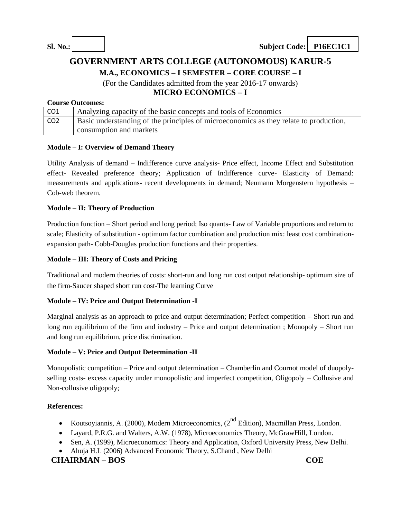# **GOVERNMENT ARTS COLLEGE (AUTONOMOUS) KARUR-5**

**M.A., ECONOMICS – I SEMESTER – CORE COURSE – I**

(For the Candidates admitted from the year 2016-17 onwards) **MICRO ECONOMICS – I**

#### **Course Outcomes:**

| CO <sub>1</sub> | Analyzing capacity of the basic concepts and tools of Economics                       |
|-----------------|---------------------------------------------------------------------------------------|
| CO <sub>2</sub> | Basic understanding of the principles of microeconomics as they relate to production, |
|                 | consumption and markets                                                               |

#### **Module – I: Overview of Demand Theory**

Utility Analysis of demand – Indifference curve analysis- Price effect, Income Effect and Substitution effect- Revealed preference theory; Application of Indifference curve- Elasticity of Demand: measurements and applications- recent developments in demand; Neumann Morgenstern hypothesis – Cob-web theorem.

#### **Module – II: Theory of Production**

Production function – Short period and long period; Iso quants- Law of Variable proportions and return to scale; Elasticity of substitution - optimum factor combination and production mix: least cost combinationexpansion path- Cobb-Douglas production functions and their properties.

#### **Module – III: Theory of Costs and Pricing**

Traditional and modern theories of costs: short-run and long run cost output relationship- optimum size of the firm-Saucer shaped short run cost-The learning Curve

#### **Module – IV: Price and Output Determination -I**

Marginal analysis as an approach to price and output determination; Perfect competition – Short run and long run equilibrium of the firm and industry – Price and output determination ; Monopoly – Short run and long run equilibrium, price discrimination.

#### **Module – V: Price and Output Determination -II**

Monopolistic competition – Price and output determination – Chamberlin and Cournot model of duopolyselling costs- excess capacity under monopolistic and imperfect competition, Oligopoly – Collusive and Non-collusive oligopoly;

#### **References:**

- Koutsoyiannis, A. (2000), Modern Microeconomics, (2<sup>nd</sup> Edition), Macmillan Press, London.
- Layard, P.R.G. and Walters, A.W. (1978), Microeconomics Theory, McGrawHill, London.
- Sen, A. (1999), Microeconomics: Theory and Application, Oxford University Press, New Delhi.
- Ahuja H.L (2006) Advanced Economic Theory, S.Chand , New Delhi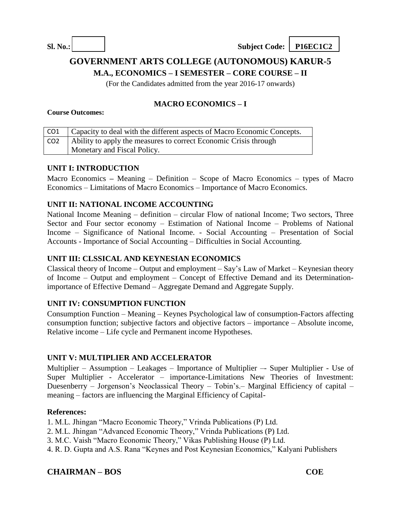# **GOVERNMENT ARTS COLLEGE (AUTONOMOUS) KARUR-5**

**M.A., ECONOMICS – I SEMESTER – CORE COURSE – II**

(For the Candidates admitted from the year 2016-17 onwards)

# **MACRO ECONOMICS – I**

#### **Course Outcomes:**

| CO1             | Capacity to deal with the different aspects of Macro Economic Concepts. |
|-----------------|-------------------------------------------------------------------------|
| CO <sub>2</sub> | Ability to apply the measures to correct Economic Crisis through        |
|                 | Monetary and Fiscal Policy.                                             |

### **UNIT I: INTRODUCTION**

Macro Economics **–** Meaning – Definition – Scope of Macro Economics – types of Macro Economics – Limitations of Macro Economics – Importance of Macro Economics.

## **UNIT II: NATIONAL INCOME ACCOUNTING**

National Income Meaning – definition – circular Flow of national Income; Two sectors, Three Sector and Four sector economy – Estimation of National Income – Problems of National Income – Significance of National Income. - Social Accounting – Presentation of Social Accounts - Importance of Social Accounting – Difficulties in Social Accounting.

#### **UNIT III: CLSSICAL AND KEYNESIAN ECONOMICS**

Classical theory of Income – Output and employment – Say's Law of Market – Keynesian theory of Income – Output and employment – Concept of Effective Demand and its Determinationimportance of Effective Demand – Aggregate Demand and Aggregate Supply.

### **UNIT IV: CONSUMPTION FUNCTION**

Consumption Function – Meaning – Keynes Psychological law of consumption-Factors affecting consumption function; subjective factors and objective factors – importance – Absolute income, Relative income – Life cycle and Permanent income Hypotheses.

### **UNIT V: MULTIPLIER AND ACCELERATOR**

Multiplier – Assumption – Leakages – Importance of Multiplier –- Super Multiplier - Use of Super Multiplier - Accelerator – importance-Limitations New Theories of Investment: Duesenberry – Jorgenson's Neoclassical Theory – Tobin's.– Marginal Efficiency of capital – meaning – factors are influencing the Marginal Efficiency of Capital-

### **References:**

- 1. M.L. Jhingan "Macro Economic Theory," Vrinda Publications (P) Ltd.
- 2. M.L. Jhingan "Advanced Economic Theory," Vrinda Publications (P) Ltd.
- 3. M.C. Vaish "Macro Economic Theory," Vikas Publishing House (P) Ltd.
- 4. R. D. Gupta and A.S. Rana "Keynes and Post Keynesian Economics," Kalyani Publishers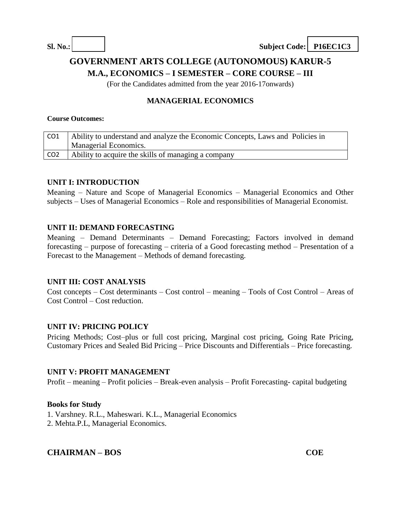# **GOVERNMENT ARTS COLLEGE (AUTONOMOUS) KARUR-5**

**M.A., ECONOMICS – I SEMESTER – CORE COURSE – III**

(For the Candidates admitted from the year 2016-17onwards)

## **MANAGERIAL ECONOMICS**

#### **Course Outcomes:**

| CO1             | Ability to understand and analyze the Economic Concepts, Laws and Policies in |
|-----------------|-------------------------------------------------------------------------------|
|                 | <b>Managerial Economics.</b>                                                  |
| CO <sub>2</sub> | Ability to acquire the skills of managing a company                           |

#### **UNIT I: INTRODUCTION**

Meaning – Nature and Scope of Managerial Economics – Managerial Economics and Other subjects – Uses of Managerial Economics – Role and responsibilities of Managerial Economist.

#### **UNIT II: DEMAND FORECASTING**

Meaning – Demand Determinants – Demand Forecasting; Factors involved in demand forecasting – purpose of forecasting – criteria of a Good forecasting method – Presentation of a Forecast to the Management – Methods of demand forecasting.

#### **UNIT III: COST ANALYSIS**

Cost concepts – Cost determinants – Cost control – meaning – Tools of Cost Control – Areas of Cost Control – Cost reduction.

#### **UNIT IV: PRICING POLICY**

Pricing Methods; Cost–plus or full cost pricing, Marginal cost pricing, Going Rate Pricing, Customary Prices and Sealed Bid Pricing – Price Discounts and Differentials – Price forecasting.

#### **UNIT V: PROFIT MANAGEMENT**

Profit – meaning – Profit policies – Break-even analysis – Profit Forecasting- capital budgeting

#### **Books for Study**

- 1. Varshney. R.L., Maheswari. K.L., Managerial Economics
- 2. Mehta.P.L, Managerial Economics.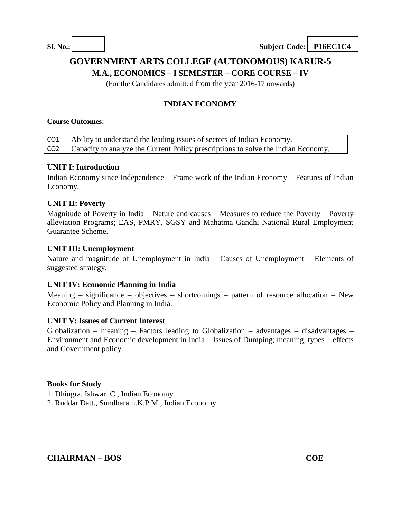# **GOVERNMENT ARTS COLLEGE (AUTONOMOUS) KARUR-5**

**M.A., ECONOMICS – I SEMESTER – CORE COURSE – IV**

(For the Candidates admitted from the year 2016-17 onwards)

# **INDIAN ECONOMY**

#### **Course Outcomes:**

| CO1   Ability to understand the leading issues of sectors of Indian Economy.            |
|-----------------------------------------------------------------------------------------|
| CO2   Capacity to analyze the Current Policy prescriptions to solve the Indian Economy. |

#### **UNIT I: Introduction**

Indian Economy since Independence – Frame work of the Indian Economy – Features of Indian Economy.

#### **UNIT II: Poverty**

Magnitude of Poverty in India – Nature and causes – Measures to reduce the Poverty – Poverty alleviation Programs; EAS, PMRY, SGSY and Mahatma Gandhi National Rural Employment Guarantee Scheme.

#### **UNIT III: Unemployment**

Nature and magnitude of Unemployment in India – Causes of Unemployment – Elements of suggested strategy.

#### **UNIT IV: Economic Planning in India**

Meaning – significance – objectives – shortcomings – pattern of resource allocation – New Economic Policy and Planning in India.

#### **UNIT V: Issues of Current Interest**

Globalization – meaning – Factors leading to Globalization – advantages – disadvantages – Environment and Economic development in India – Issues of Dumping; meaning, types – effects and Government policy.

#### **Books for Study**

- 1. Dhingra, Ishwar. C., Indian Economy
- 2. Ruddar Datt., Sundharam.K.P.M., Indian Economy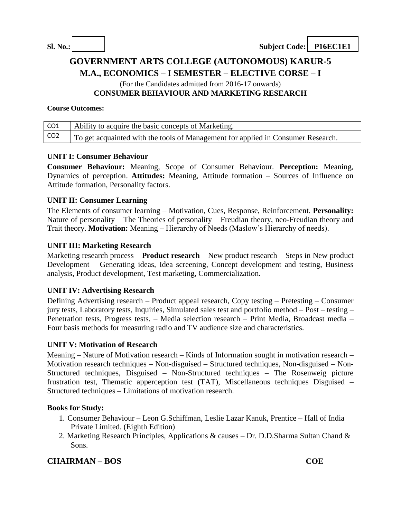# **GOVERNMENT ARTS COLLEGE (AUTONOMOUS) KARUR-5 M.A., ECONOMICS – I SEMESTER – ELECTIVE CORSE – I** (For the Candidates admitted from 2016-17 onwards) **CONSUMER BEHAVIOUR AND MARKETING RESEARCH**

#### **Course Outcomes:**

| CO1             | Ability to acquire the basic concepts of Marketing.                              |
|-----------------|----------------------------------------------------------------------------------|
| CO <sub>2</sub> | To get acquainted with the tools of Management for applied in Consumer Research. |

#### **UNIT I: Consumer Behaviour**

**Consumer Behaviour:** Meaning, Scope of Consumer Behaviour. **Perception:** Meaning, Dynamics of perception. **Attitudes:** Meaning, Attitude formation – Sources of Influence on Attitude formation, Personality factors.

#### **UNIT II: Consumer Learning**

The Elements of consumer learning – Motivation, Cues, Response, Reinforcement. **Personality:** Nature of personality – The Theories of personality – Freudian theory, neo-Freudian theory and Trait theory. **Motivation:** Meaning – Hierarchy of Needs (Maslow's Hierarchy of needs).

#### **UNIT III: Marketing Research**

Marketing research process – **Product research** – New product research – Steps in New product Development – Generating ideas, Idea screening, Concept development and testing, Business analysis, Product development, Test marketing, Commercialization.

#### **UNIT IV: Advertising Research**

Defining Advertising research – Product appeal research, Copy testing – Pretesting – Consumer jury tests, Laboratory tests, Inquiries, Simulated sales test and portfolio method – Post – testing – Penetration tests, Progress tests. – Media selection research – Print Media, Broadcast media – Four basis methods for measuring radio and TV audience size and characteristics.

#### **UNIT V: Motivation of Research**

Meaning – Nature of Motivation research – Kinds of Information sought in motivation research – Motivation research techniques – Non-disguised – Structured techniques, Non-disguised – Non-Structured techniques, Disguised – Non-Structured techniques – The Rosenweig picture frustration test, Thematic apperception test (TAT), Miscellaneous techniques Disguised – Structured techniques – Limitations of motivation research.

#### **Books for Study:**

- 1. Consumer Behaviour Leon G.Schiffman, Leslie Lazar Kanuk, Prentice Hall of India Private Limited. (Eighth Edition)
- 2. Marketing Research Principles, Applications & causes Dr. D.D.Sharma Sultan Chand & Sons.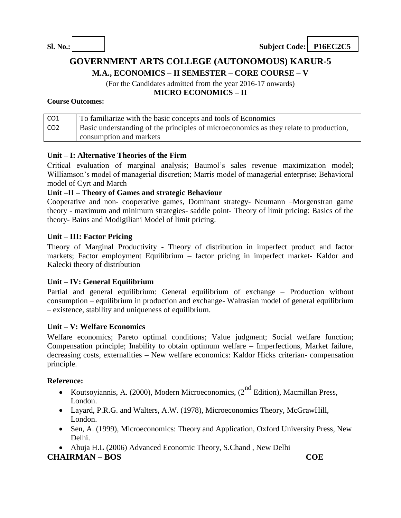# **GOVERNMENT ARTS COLLEGE (AUTONOMOUS) KARUR-5**

**M.A., ECONOMICS – II SEMESTER – CORE COURSE – V**

(For the Candidates admitted from the year 2016-17 onwards)

**MICRO ECONOMICS – II**

#### **Course Outcomes:**

| CO1             | To familiarize with the basic concepts and tools of Economics                         |
|-----------------|---------------------------------------------------------------------------------------|
| CO <sub>2</sub> | Basic understanding of the principles of microeconomics as they relate to production, |
|                 | consumption and markets                                                               |

#### **Unit – I: Alternative Theories of the Firm**

Critical evaluation of marginal analysis; Baumol's sales revenue maximization model; Williamson's model of managerial discretion; Marris model of managerial enterprise; Behavioral model of Cyrt and March

#### **Unit –II – Theory of Games and strategic Behaviour**

Cooperative and non- cooperative games, Dominant strategy- Neumann –Morgenstran game theory - maximum and minimum strategies- saddle point- Theory of limit pricing: Basics of the theory- Bains and Modigiliani Model of limit pricing.

#### **Unit – III: Factor Pricing**

Theory of Marginal Productivity - Theory of distribution in imperfect product and factor markets; Factor employment Equilibrium – factor pricing in imperfect market- Kaldor and Kalecki theory of distribution

#### **Unit – IV: General Equilibrium**

Partial and general equilibrium: General equilibrium of exchange – Production without consumption – equilibrium in production and exchange- Walrasian model of general equilibrium – existence, stability and uniqueness of equilibrium.

#### **Unit – V: Welfare Economics**

Welfare economics; Pareto optimal conditions; Value judgment; Social welfare function; Compensation principle; Inability to obtain optimum welfare – Imperfections, Market failure, decreasing costs, externalities – New welfare economics: Kaldor Hicks criterian- compensation principle.

#### **Reference:**

- Koutsoyiannis, A. (2000), Modern Microeconomics,  $(2^{nd}$  Edition), Macmillan Press, London.
- Layard, P.R.G. and Walters, A.W. (1978), Microeconomics Theory, McGrawHill, London.
- Sen, A. (1999), Microeconomics: Theory and Application, Oxford University Press, New Delhi.
- Ahuja H.L (2006) Advanced Economic Theory, S.Chand, New Delhi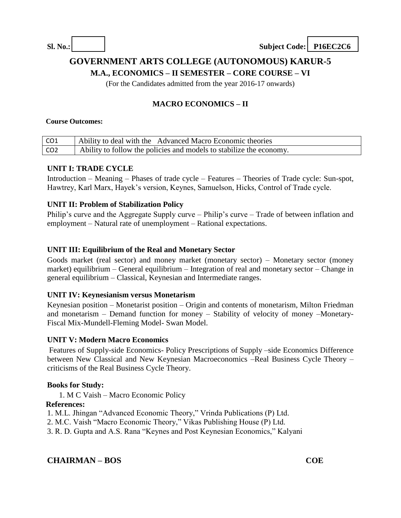# **GOVERNMENT ARTS COLLEGE (AUTONOMOUS) KARUR-5**

**M.A., ECONOMICS – II SEMESTER – CORE COURSE – VI**

(For the Candidates admitted from the year 2016-17 onwards)

# **MACRO ECONOMICS – II**

#### **Course Outcomes:**

| CO <sub>1</sub> | Ability to deal with the Advanced Macro Economic theories           |
|-----------------|---------------------------------------------------------------------|
| CO <sub>2</sub> | Ability to follow the policies and models to stabilize the economy. |

### **UNIT I: TRADE CYCLE**

Introduction – Meaning – Phases of trade cycle – Features – Theories of Trade cycle: Sun-spot, Hawtrey, Karl Marx, Hayek's version, Keynes, Samuelson, Hicks, Control of Trade cycle.

#### **UNIT II: Problem of Stabilization Policy**

Philip's curve and the Aggregate Supply curve – Philip's curve – Trade of between inflation and employment – Natural rate of unemployment – Rational expectations.

### **UNIT III: Equilibrium of the Real and Monetary Sector**

Goods market (real sector) and money market (monetary sector) – Monetary sector (money market) equilibrium – General equilibrium – Integration of real and monetary sector – Change in general equilibrium – Classical, Keynesian and Intermediate ranges.

### **UNIT IV: Keynesianism versus Monetarism**

Keynesian position – Monetarist position – Origin and contents of monetarism, Milton Friedman and monetarism – Demand function for money – Stability of velocity of money –Monetary-Fiscal Mix-Mundell-Fleming Model- Swan Model.

#### **UNIT V: Modern Macro Economics**

Features of Supply-side Economics- Policy Prescriptions of Supply –side Economics Difference between New Classical and New Keynesian Macroeconomics –Real Business Cycle Theory – criticisms of the Real Business Cycle Theory.

### **Books for Study:**

1. M C Vaish – Macro Economic Policy

#### **References:**

1. M.L. Jhingan "Advanced Economic Theory," Vrinda Publications (P) Ltd.

- 2. M.C. Vaish "Macro Economic Theory," Vikas Publishing House (P) Ltd.
- 3. R. D. Gupta and A.S. Rana "Keynes and Post Keynesian Economics," Kalyani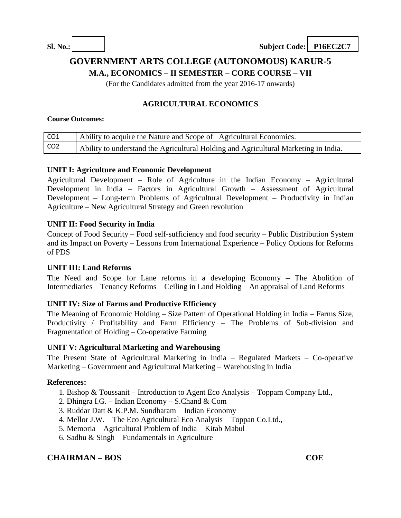# **GOVERNMENT ARTS COLLEGE (AUTONOMOUS) KARUR-5**

**M.A., ECONOMICS – II SEMESTER – CORE COURSE – VII**

(For the Candidates admitted from the year 2016-17 onwards)

## **AGRICULTURAL ECONOMICS**

#### **Course Outcomes:**

| CO1             | Ability to acquire the Nature and Scope of Agricultural Economics.                  |
|-----------------|-------------------------------------------------------------------------------------|
| CO <sub>2</sub> | Ability to understand the Agricultural Holding and Agricultural Marketing in India. |

#### **UNIT I: Agriculture and Economic Development**

Agricultural Development – Role of Agriculture in the Indian Economy – Agricultural Development in India – Factors in Agricultural Growth – Assessment of Agricultural Development – Long-term Problems of Agricultural Development – Productivity in Indian Agriculture – New Agricultural Strategy and Green revolution

#### **UNIT II: Food Security in India**

Concept of Food Security – Food self-sufficiency and food security – Public Distribution System and its Impact on Poverty – Lessons from International Experience – Policy Options for Reforms of PDS

#### **UNIT III: Land Reforms**

The Need and Scope for Lane reforms in a developing Economy – The Abolition of Intermediaries – Tenancy Reforms – Ceiling in Land Holding – An appraisal of Land Reforms

#### **UNIT IV: Size of Farms and Productive Efficiency**

The Meaning of Economic Holding – Size Pattern of Operational Holding in India – Farms Size, Productivity / Profitability and Farm Efficiency – The Problems of Sub-division and Fragmentation of Holding – Co-operative Farming

#### **UNIT V: Agricultural Marketing and Warehousing**

The Present State of Agricultural Marketing in India – Regulated Markets – Co-operative Marketing – Government and Agricultural Marketing – Warehousing in India

#### **References:**

- 1. Bishop & Toussanit Introduction to Agent Eco Analysis Toppam Company Ltd.,
- 2. Dhingra I.G. Indian Economy S.Chand & Com
- 3. Ruddar Datt & K.P.M. Sundharam Indian Economy
- 4. Mellor J.W. The Eco Agricultural Eco Analysis Toppan Co.Ltd.,
- 5. Memoria Agricultural Problem of India Kitab Mabul
- 6. Sadhu & Singh Fundamentals in Agriculture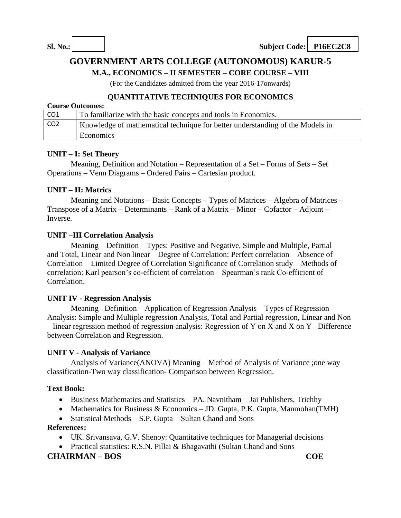# **GOVERNMENT ARTS COLLEGE (AUTONOMOUS) KARUR-5**

**M.A., ECONOMICS – II SEMESTER – CORE COURSE – VIII**

(For the Candidates admitted from the year 2016-17onwards)

## **QUANTITATIVE TECHNIQUES FOR ECONOMICS**

| <b>Course Outcomes:</b> |                                                                               |  |  |
|-------------------------|-------------------------------------------------------------------------------|--|--|
| CO1                     | To familiarize with the basic concepts and tools in Economics.                |  |  |
| CO <sub>2</sub>         | Knowledge of mathematical technique for better understanding of the Models in |  |  |
|                         | Economics                                                                     |  |  |

### **UNIT – I: Set Theory**

Meaning, Definition and Notation – Representation of a Set – Forms of Sets – Set Operations – Venn Diagrams – Ordered Pairs – Cartesian product.

### **UNIT – II: Matrics**

Meaning and Notations – Basic Concepts – Types of Matrices – Algebra of Matrices – Transpose of a Matrix – Determinants – Rank of a Matrix – Minor – Cofactor – Adjoint – Inverse.

#### **UNIT –III Correlation Analysis**

Meaning – Definition – Types: Positive and Negative, Simple and Multiple, Partial and Total, Linear and Non linear – Degree of Correlation: Perfect correlation – Absence of Correlation – Limited Degree of Correlation Significance of Correlation study – Methods of correlation: Karl pearson's co-efficient of correlation – Spearman's rank Co-efficient of Correlation.

#### **UNIT IV - Regression Analysis**

Meaning– Definition – Application of Regression Analysis – Types of Regression Analysis: Simple and Multiple regression Analysis, Total and Partial regression, Linear and Non – linear regression method of regression analysis: Regression of Y on X and X on Y– Difference between Correlation and Regression.

#### **UNIT V - Analysis of Variance**

Analysis of Variance(ANOVA) Meaning – Method of Analysis of Variance ;one way classification-Two way classification- Comparison between Regression.

#### **Text Book:**

- Business Mathematics and Statistics PA. Navnitham Jai Publishers, Trichhy
- Mathematics for Business & Economics JD. Gupta, P.K. Gupta, Manmohan(TMH)
- Statistical Methods S.P. Gupta Sultan Chand and Sons

### **References:**

- UK. Srivansava, G.V. Shenoy: Quantitative techniques for Managerial decisions
- Practical statistics: R.S.N. Pillai & Bhagavathi (Sultan Chand and Sons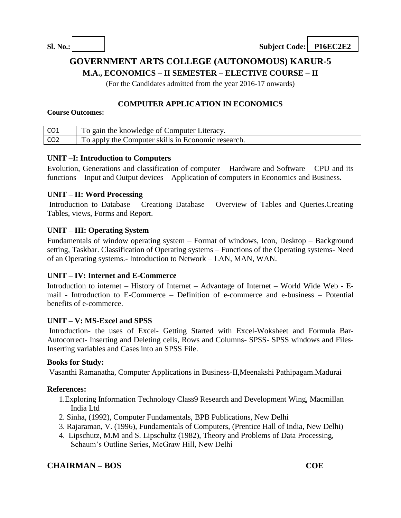# **GOVERNMENT ARTS COLLEGE (AUTONOMOUS) KARUR-5**

**M.A., ECONOMICS – II SEMESTER – ELECTIVE COURSE – II**

(For the Candidates admitted from the year 2016-17 onwards)

## **COMPUTER APPLICATION IN ECONOMICS**

#### **Course Outcomes:**

|                 | To gain the knowledge of Computer Literacy.        |
|-----------------|----------------------------------------------------|
| CO <sub>2</sub> | To apply the Computer skills in Economic research. |

### **UNIT –I: Introduction to Computers**

Evolution, Generations and classification of computer – Hardware and Software – CPU and its functions – Input and Output devices – Application of computers in Economics and Business.

#### **UNIT – II: Word Processing**

Introduction to Database – Creationg Database – Overview of Tables and Queries.Creating Tables, views, Forms and Report.

### **UNIT – III: Operating System**

Fundamentals of window operating system – Format of windows, Icon, Desktop – Background setting, Taskbar. Classification of Operating systems – Functions of the Operating systems- Need of an Operating systems.- Introduction to Network – LAN, MAN, WAN.

### **UNIT – IV: Internet and E-Commerce**

Introduction to internet – History of Internet – Advantage of Internet – World Wide Web - Email - Introduction to E-Commerce – Definition of e-commerce and e-business – Potential benefits of e-commerce.

### **UNIT – V: MS-Excel and SPSS**

Introduction- the uses of Excel- Getting Started with Excel-Woksheet and Formula Bar-Autocorrect- Inserting and Deleting cells, Rows and Columns- SPSS- SPSS windows and Files-Inserting variables and Cases into an SPSS File.

#### **Books for Study:**

Vasanthi Ramanatha, Computer Applications in Business-II,Meenakshi Pathipagam.Madurai

#### **References:**

- 1.Exploring Information Technology Class9 Research and Development Wing, Macmillan India Ltd
- 2. Sinha, (1992), Computer Fundamentals, BPB Publications, New Delhi
- 3. Rajaraman, V. (1996), Fundamentals of Computers, (Prentice Hall of India, New Delhi)
- 4. Lipschutz, M.M and S. Lipschultz (1982), Theory and Problems of Data Processing, Schaum's Outline Series, McGraw Hill, New Delhi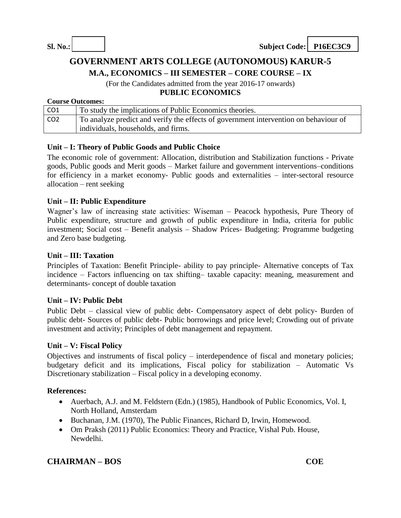# **GOVERNMENT ARTS COLLEGE (AUTONOMOUS) KARUR-5**

**M.A., ECONOMICS – III SEMESTER – CORE COURSE – IX**

(For the Candidates admitted from the year 2016-17 onwards)

## **PUBLIC ECONOMICS**

#### **Course Outcomes:**

| CO1             | To study the implications of Public Economics theories.                              |
|-----------------|--------------------------------------------------------------------------------------|
| CO <sub>2</sub> | To analyze predict and verify the effects of government intervention on behaviour of |
|                 | individuals, households, and firms.                                                  |

#### **Unit – I: Theory of Public Goods and Public Choice**

The economic role of government: Allocation, distribution and Stabilization functions - Private goods, Public goods and Merit goods – Market failure and government interventions–conditions for efficiency in a market economy- Public goods and externalities – inter-sectoral resource allocation – rent seeking

#### **Unit – II: Public Expenditure**

Wagner's law of increasing state activities: Wiseman – Peacock hypothesis, Pure Theory of Public expenditure, structure and growth of public expenditure in India, criteria for public investment; Social cost – Benefit analysis – Shadow Prices- Budgeting: Programme budgeting and Zero base budgeting.

#### **Unit – III: Taxation**

Principles of Taxation: Benefit Principle- ability to pay principle- Alternative concepts of Tax incidence – Factors influencing on tax shifting– taxable capacity: meaning, measurement and determinants- concept of double taxation

#### **Unit – IV: Public Debt**

Public Debt – classical view of public debt- Compensatory aspect of debt policy- Burden of public debt- Sources of public debt- Public borrowings and price level; Crowding out of private investment and activity; Principles of debt management and repayment.

#### **Unit – V: Fiscal Policy**

Objectives and instruments of fiscal policy – interdependence of fiscal and monetary policies; budgetary deficit and its implications, Fiscal policy for stabilization – Automatic Vs Discretionary stabilization – Fiscal policy in a developing economy.

#### **References:**

- Auerbach, A.J. and M. Feldstern (Edn.) (1985), Handbook of Public Economics, Vol. I, North Holland, Amsterdam
- Buchanan, J.M. (1970), The Public Finances, Richard D, Irwin, Homewood.
- Om Praksh (2011) Public Economics: Theory and Practice, Vishal Pub. House, Newdelhi.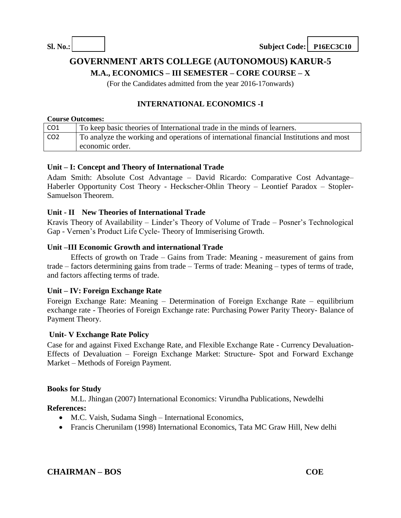# **GOVERNMENT ARTS COLLEGE (AUTONOMOUS) KARUR-5**

**M.A., ECONOMICS – III SEMESTER – CORE COURSE – X**

(For the Candidates admitted from the year 2016-17onwards)

## **INTERNATIONAL ECONOMICS -I**

#### **Course Outcomes:**

| CO <sub>1</sub> | To keep basic theories of International trade in the minds of learners.                |
|-----------------|----------------------------------------------------------------------------------------|
| CO <sub>2</sub> | To analyze the working and operations of international financial Institutions and most |
|                 | economic order.                                                                        |

#### **Unit – I: Concept and Theory of International Trade**

Adam Smith: Absolute Cost Advantage – David Ricardo: Comparative Cost Advantage– Haberler Opportunity Cost Theory - Heckscher-Ohlin Theory – Leontief Paradox – Stopler-Samuelson Theorem.

#### **Unit - II New Theories of International Trade**

Kravis Theory of Availability – Linder's Theory of Volume of Trade – Posner's Technological Gap - Vernen's Product Life Cycle- Theory of Immiserising Growth.

#### **Unit –III Economic Growth and international Trade**

Effects of growth on Trade – Gains from Trade: Meaning - measurement of gains from trade – factors determining gains from trade – Terms of trade: Meaning – types of terms of trade, and factors affecting terms of trade.

#### **Unit – IV: Foreign Exchange Rate**

Foreign Exchange Rate: Meaning – Determination of Foreign Exchange Rate – equilibrium exchange rate - Theories of Foreign Exchange rate: Purchasing Power Parity Theory- Balance of Payment Theory.

#### **Unit- V Exchange Rate Policy**

Case for and against Fixed Exchange Rate, and Flexible Exchange Rate - Currency Devaluation-Effects of Devaluation – Foreign Exchange Market: Structure- Spot and Forward Exchange Market – Methods of Foreign Payment.

#### **Books for Study**

M.L. Jhingan (2007) International Economics: Virundha Publications, Newdelhi **References:**

- M.C. Vaish, Sudama Singh International Economics,
- Francis Cherunilam (1998) International Economics, Tata MC Graw Hill, New delhi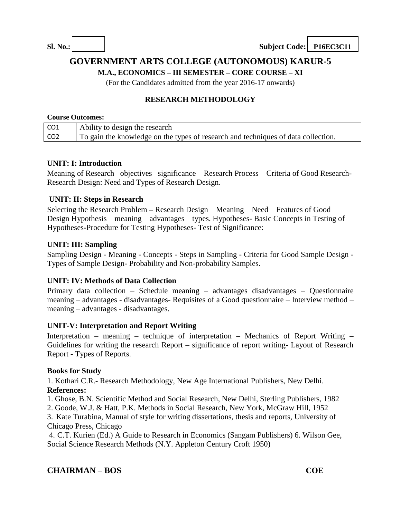# **GOVERNMENT ARTS COLLEGE (AUTONOMOUS) KARUR-5**

**M.A., ECONOMICS – III SEMESTER – CORE COURSE – XI**

(For the Candidates admitted from the year 2016-17 onwards)

## **RESEARCH METHODOLOGY**

#### **Course Outcomes:**

| CO1             | Ability to design the research                                                    |
|-----------------|-----------------------------------------------------------------------------------|
| CO <sub>2</sub> | To gain the knowledge on the types of research and techniques of data collection. |

#### **UNIT: I: Introduction**

Meaning of Research– objectives– significance – Research Process – Criteria of Good Research-Research Design: Need and Types of Research Design.

#### **UNIT: II: Steps in Research**

Selecting the Research Problem **–** Research Design – Meaning – Need – Features of Good Design Hypothesis – meaning – advantages – types. Hypotheses- Basic Concepts in Testing of Hypotheses**-**Procedure for Testing Hypotheses- Test of Significance:

#### **UNIT: III: Sampling**

Sampling Design - Meaning - Concepts - Steps in Sampling - Criteria for Good Sample Design - Types of Sample Design- Probability and Non-probability Samples.

#### **UNIT: IV: Methods of Data Collection**

Primary data collection – Schedule meaning – advantages disadvantages – Questionnaire meaning – advantages - disadvantages- Requisites of a Good questionnaire – Interview method – meaning – advantages - disadvantages.

#### **UNIT-V: Interpretation and Report Writing**

Interpretation – meaning – technique of interpretation **–** Mechanics of Report Writing **–** Guidelines for writing the research Report – significance of report writing- Layout of Research Report - Types of Reports.

#### **Books for Study**

1. Kothari C.R.- Research Methodology, New Age International Publishers, New Delhi. **References:**

1. Ghose, B.N. Scientific Method and Social Research, New Delhi, Sterling Publishers, 1982

2. Goode, W.J. & Hatt, P.K. Methods in Social Research, New York, McGraw Hill, 1952

3. Kate Turabina, Manual of style for writing dissertations, thesis and reports, University of Chicago Press, Chicago

4. C.T. Kurien (Ed.) A Guide to Research in Economics (Sangam Publishers) 6. Wilson Gee, Social Science Research Methods (N.Y. Appleton Century Croft 1950)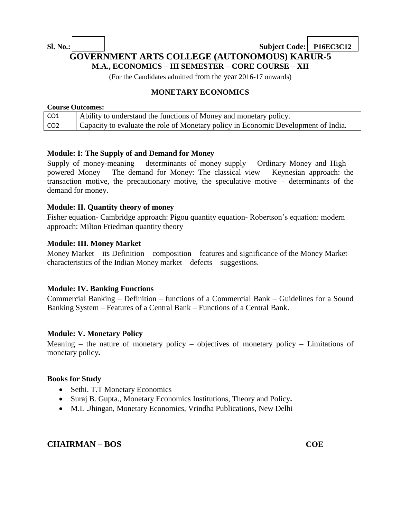# **Sl. No.: Subject Code: P16EC3C12 GOVERNMENT ARTS COLLEGE (AUTONOMOUS) KARUR-5 M.A., ECONOMICS – III SEMESTER – CORE COURSE – XII**

(For the Candidates admitted from the year 2016-17 onwards)

### **MONETARY ECONOMICS**

#### **Course Outcomes:**

| CO <sub>1</sub> | Ability to understand the functions of Money and monetary policy.                  |
|-----------------|------------------------------------------------------------------------------------|
| CO <sub>2</sub> | Capacity to evaluate the role of Monetary policy in Economic Development of India. |

#### **Module: I: The Supply of and Demand for Money**

Supply of money-meaning  $-$  determinants of money supply  $-$  Ordinary Money and High  $$ powered Money – The demand for Money: The classical view – Keynesian approach: the transaction motive, the precautionary motive, the speculative motive – determinants of the demand for money.

#### **Module: II. Quantity theory of money**

Fisher equation- Cambridge approach: Pigou quantity equation- Robertson's equation: modern approach: Milton Friedman quantity theory

#### **Module: III. Money Market**

Money Market – its Definition – composition – features and significance of the Money Market – characteristics of the Indian Money market – defects – suggestions.

#### **Module: IV. Banking Functions**

Commercial Banking – Definition – functions of a Commercial Bank – Guidelines for a Sound Banking System – Features of a Central Bank – Functions of a Central Bank.

#### **Module: V. Monetary Policy**

Meaning – the nature of monetary policy – objectives of monetary policy – Limitations of monetary policy**.**

#### **Books for Study**

- Sethi. T.T Monetary Economics
- Suraj B. Gupta., Monetary Economics Institutions, Theory and Policy**.**
- M.L .Jhingan, Monetary Economics, Vrindha Publications, New Delhi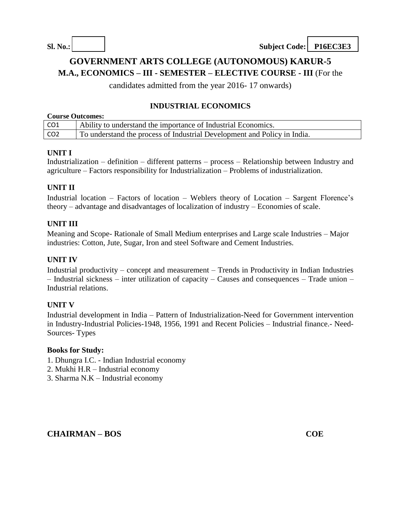# **GOVERNMENT ARTS COLLEGE (AUTONOMOUS) KARUR-5**

**M.A., ECONOMICS – III - SEMESTER – ELECTIVE COURSE - III** (For the

candidates admitted from the year 2016- 17 onwards)

# **INDUSTRIAL ECONOMICS**

| <b>Course Outcomes:</b> |                                                                          |
|-------------------------|--------------------------------------------------------------------------|
| CO1                     | Ability to understand the importance of Industrial Economics.            |
| CO <sub>2</sub>         | To understand the process of Industrial Development and Policy in India. |

### **UNIT I**

Industrialization – definition – different patterns – process – Relationship between Industry and agriculture – Factors responsibility for Industrialization – Problems of industrialization.

## **UNIT II**

Industrial location – Factors of location – Weblers theory of Location – Sargent Florence's theory – advantage and disadvantages of localization of industry – Economies of scale.

### **UNIT III**

Meaning and Scope- Rationale of Small Medium enterprises and Large scale Industries – Major industries: Cotton, Jute, Sugar, Iron and steel Software and Cement Industries.

#### **UNIT IV**

Industrial productivity – concept and measurement – Trends in Productivity in Indian Industries – Industrial sickness – inter utilization of capacity – Causes and consequences – Trade union – Industrial relations.

### **UNIT V**

Industrial development in India – Pattern of Industrialization-Need for Government intervention in Industry-Industrial Policies-1948, 1956, 1991 and Recent Policies – Industrial finance.- Need-Sources- Types

#### **Books for Study:**

- 1. Dhungra I.C. Indian Industrial economy
- 2. Mukhi H.R Industrial economy
- 3. Sharma N.K Industrial economy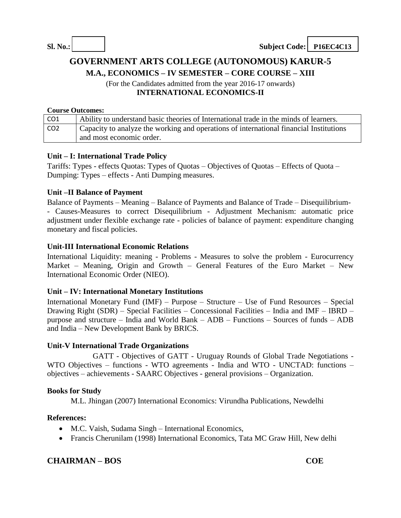# **GOVERNMENT ARTS COLLEGE (AUTONOMOUS) KARUR-5**

**M.A., ECONOMICS – IV SEMESTER – CORE COURSE – XIII**

(For the Candidates admitted from the year 2016-17 onwards) **INTERNATIONAL ECONOMICS-II**

#### **Course Outcomes:**

| CO1             | Ability to understand basic theories of International trade in the minds of learners.  |
|-----------------|----------------------------------------------------------------------------------------|
| CO <sub>2</sub> | Capacity to analyze the working and operations of international financial Institutions |
|                 | and most economic order.                                                               |

#### **Unit – I: International Trade Policy**

Tariffs: Types - effects Quotas: Types of Quotas – Objectives of Quotas – Effects of Quota – Dumping: Types – effects - Anti Dumping measures.

#### **Unit –II Balance of Payment**

Balance of Payments – Meaning – Balance of Payments and Balance of Trade – Disequilibrium- - Causes-Measures to correct Disequilibrium - Adjustment Mechanism: automatic price adjustment under flexible exchange rate - policies of balance of payment: expenditure changing monetary and fiscal policies.

#### **Unit-III International Economic Relations**

International Liquidity: meaning - Problems - Measures to solve the problem - Eurocurrency Market – Meaning, Origin and Growth – General Features of the Euro Market – New International Economic Order (NIEO).

#### **Unit – IV: International Monetary Institutions**

International Monetary Fund (IMF) – Purpose – Structure – Use of Fund Resources – Special Drawing Right (SDR) – Special Facilities – Concessional Facilities – India and IMF – IBRD – purpose and structure – India and World Bank – ADB – Functions – Sources of funds – ADB and India – New Development Bank by BRICS.

#### **Unit-V International Trade Organizations**

GATT - Objectives of GATT - Uruguay Rounds of Global Trade Negotiations - WTO Objectives – functions - WTO agreements - India and WTO - UNCTAD: functions – objectives – achievements - SAARC Objectives - general provisions – Organization.

### **Books for Study**

M.L. Jhingan (2007) International Economics: Virundha Publications, Newdelhi

### **References:**

- M.C. Vaish, Sudama Singh International Economics,
- Francis Cherunilam (1998) International Economics, Tata MC Graw Hill, New delhi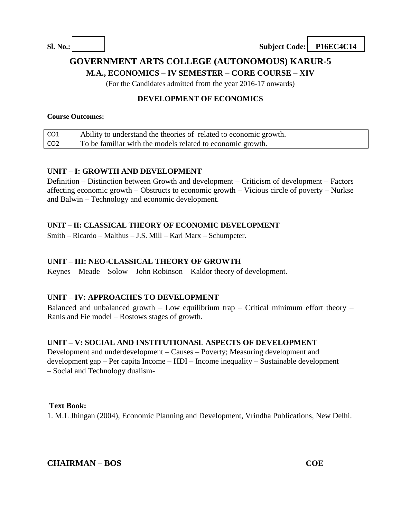# **GOVERNMENT ARTS COLLEGE (AUTONOMOUS) KARUR-5**

**M.A., ECONOMICS – IV SEMESTER – CORE COURSE – XIV**

(For the Candidates admitted from the year 2016-17 onwards)

## **DEVELOPMENT OF ECONOMICS**

#### **Course Outcomes:**

| CO1             | Ability to understand the theories of related to economic growth. |
|-----------------|-------------------------------------------------------------------|
| CO <sub>2</sub> | To be familiar with the models related to economic growth.        |

#### **UNIT – I: GROWTH AND DEVELOPMENT**

Definition – Distinction between Growth and development – Criticism of development – Factors affecting economic growth – Obstructs to economic growth – Vicious circle of poverty – Nurkse and Balwin – Technology and economic development.

#### **UNIT – II: CLASSICAL THEORY OF ECONOMIC DEVELOPMENT**

Smith – Ricardo – Malthus – J.S. Mill – Karl Marx – Schumpeter.

### **UNIT – III: NEO-CLASSICAL THEORY OF GROWTH**

Keynes – Meade – Solow – John Robinson – Kaldor theory of development.

### **UNIT – IV: APPROACHES TO DEVELOPMENT**

Balanced and unbalanced growth – Low equilibrium trap – Critical minimum effort theory – Ranis and Fie model – Rostows stages of growth.

### **UNIT – V: SOCIAL AND INSTITUTIONASL ASPECTS OF DEVELOPMENT**

Development and underdevelopment – Causes – Poverty; Measuring development and development gap – Per capita Income – HDI – Income inequality – Sustainable development – Social and Technology dualism-

### **Text Book:**

1. M.L Jhingan (2004), Economic Planning and Development, Vrindha Publications, New Delhi.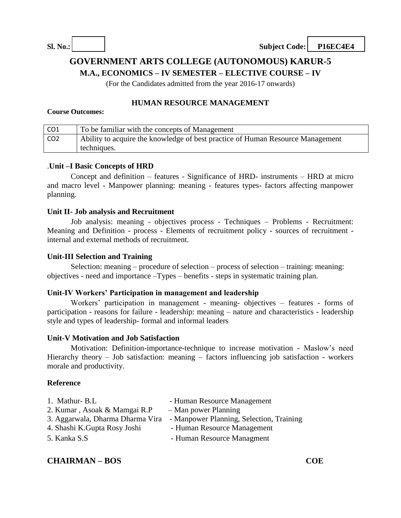# **GOVERNMENT ARTS COLLEGE (AUTONOMOUS) KARUR-5**

**M.A., ECONOMICS – IV SEMESTER – ELECTIVE COURSE – IV**

(For the Candidates admitted from the year 2016-17 onwards)

## **HUMAN RESOURCE MANAGEMENT**

#### **Course Outcomes:**

| CO1             | To be familiar with the concepts of Management                                 |
|-----------------|--------------------------------------------------------------------------------|
| CO <sub>2</sub> | Ability to acquire the knowledge of best practice of Human Resource Management |
|                 | techniques.                                                                    |

#### .**Unit –I Basic Concepts of HRD**

Concept and definition – features - Significance of HRD- instruments – HRD at micro and macro level - Manpower planning: meaning - features types- factors affecting manpower planning.

#### **Unit II- Job analysis and Recruitment**

Job analysis: meaning - objectives process - Techniques – Problems - Recruitment: Meaning and Definition - process - Elements of recruitment policy - sources of recruitment internal and external methods of recruitment.

#### **Unit-III Selection and Training**

Selection: meaning – procedure of selection – process of selection – training: meaning: objectives - need and importance –Types – benefits - steps in systematic training plan.

#### **Unit-IV Workers' Participation in management and leadership**

Workers' participation in management - meaning- objectives – features - forms of participation - reasons for failure - leadership: meaning – nature and characteristics - leadership style and types of leadership- formal and informal leaders

#### **Unit-V Motivation and Job Satisfaction**

Motivation: Definition-importance-technique to increase motivation - Maslow's need Hierarchy theory – Job satisfaction: meaning – factors influencing job satisfaction - workers morale and productivity.

### **Reference**

| 1. Mathur- B.L                   | - Human Resource Management              |
|----------------------------------|------------------------------------------|
| 2. Kumar, Asoak & Mamgai R.P     | $-$ Man power Planning                   |
| 3. Aggarwala, Dharma Dharma Vira | - Manpower Planning, Selection, Training |
| 4. Shashi K.Gupta Rosy Joshi     | - Human Resource Management              |
| 5. Kanka S.S                     | - Human Resource Managment               |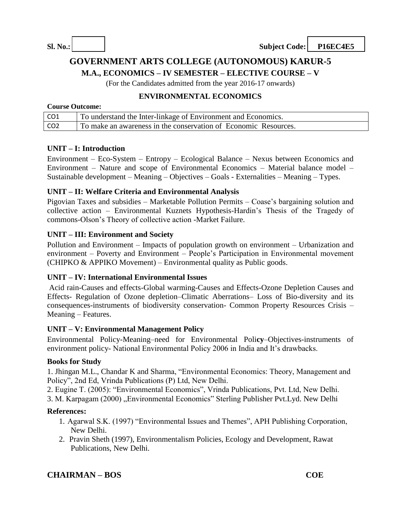# **GOVERNMENT ARTS COLLEGE (AUTONOMOUS) KARUR-5**

**M.A., ECONOMICS – IV SEMESTER – ELECTIVE COURSE – V**

(For the Candidates admitted from the year 2016-17 onwards)

### **ENVIRONMENTAL ECONOMICS**

#### **Course Outcome:**

| CO <sub>1</sub> | To understand the Inter-linkage of Environment and Economics.   |
|-----------------|-----------------------------------------------------------------|
| CO <sub>2</sub> | To make an awareness in the conservation of Economic Resources. |

#### **UNIT – I: Introduction**

Environment – Eco-System – Entropy – Ecological Balance – Nexus between Economics and Environment – Nature and scope of Environmental Economics – Material balance model – Sustainable development – Meaning – Objectives – Goals - Externalities – Meaning – Types.

#### **UNIT – II: Welfare Criteria and Environmental Analysis**

Pigovian Taxes and subsidies – Marketable Pollution Permits – Coase's bargaining solution and collective action – Environmental Kuznets Hypothesis-Hardin's Thesis of the Tragedy of commons-Olson's Theory of collective action -Market Failure.

#### **UNIT – III: Environment and Society**

Pollution and Environment – Impacts of population growth on environment – Urbanization and environment – Poverty and Environment – People's Participation in Environmental movement (CHIPKO & APPIKO Movement) – Environmental quality as Public goods.

#### **UNIT – IV: International Environmental Issues**

Acid rain-Causes and effects-Global warming-Causes and Effects-Ozone Depletion Causes and Effects- Regulation of Ozone depletion–Climatic Aberrations– Loss of Bio-diversity and its consequences-instruments of biodiversity conservation- Common Property Resources Crisis – Meaning – Features.

#### **UNIT – V: Environmental Management Policy**

Environmental Policy-Meaning–need for Environmental Poli**cy**–Objectives-instruments of environment policy- National Environmental Policy 2006 in India and It's drawbacks.

#### **Books for Study**

1. Jhingan M.L., Chandar K and Sharma, "Environmental Economics: Theory, Management and Policy", 2nd Ed, Vrinda Publications (P) Ltd, New Delhi.

2. Eugine T. (2005): "Environmental Economics", Vrinda Publications, Pvt. Ltd, New Delhi.

3. M. Karpagam (2000) "Environmental Economics" Sterling Publisher Pvt.Lyd. New Delhi

#### **References:**

- 1. Agarwal S.K. (1997) "Environmental Issues and Themes", APH Publishing Corporation, New Delhi.
- 2. Pravin Sheth (1997), Environmentalism Policies, Ecology and Development, Rawat Publications, New Delhi.